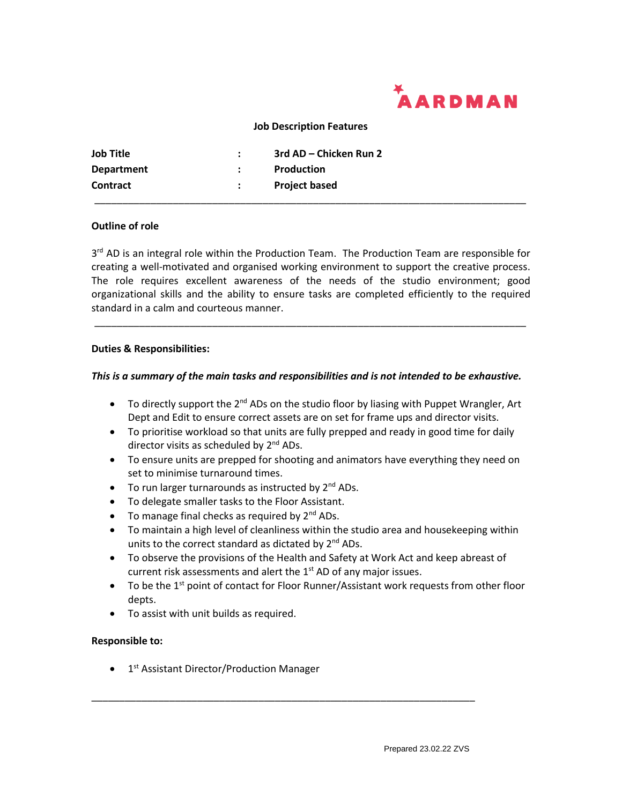

### **Job Description Features**

| <b>Job Title</b> | ÷ | 3rd AD – Chicken Run 2 |
|------------------|---|------------------------|
| Department       |   | Production             |
| <b>Contract</b>  |   | <b>Project based</b>   |
|                  |   |                        |

## **Outline of role**

3<sup>rd</sup> AD is an integral role within the Production Team. The Production Team are responsible for creating a well-motivated and organised working environment to support the creative process. The role requires excellent awareness of the needs of the studio environment; good organizational skills and the ability to ensure tasks are completed efficiently to the required standard in a calm and courteous manner.

*\_\_\_\_\_\_\_\_\_\_\_\_\_\_\_\_\_\_\_\_\_\_\_\_\_\_\_\_\_\_\_\_\_\_\_\_\_\_\_\_\_\_\_\_\_\_\_\_\_\_\_\_\_\_\_\_\_\_\_\_\_\_\_\_\_\_\_\_\_\_\_\_\_\_\_\_\_*

#### **Duties & Responsibilities:**

#### *This is a summary of the main tasks and responsibilities and is not intended to be exhaustive.*

- To directly support the 2<sup>nd</sup> ADs on the studio floor by liasing with Puppet Wrangler, Art Dept and Edit to ensure correct assets are on set for frame ups and director visits.
- To prioritise workload so that units are fully prepped and ready in good time for daily director visits as scheduled by 2<sup>nd</sup> ADs.
- To ensure units are prepped for shooting and animators have everything they need on set to minimise turnaround times.
- To run larger turnarounds as instructed by  $2^{nd}$  ADs.
- To delegate smaller tasks to the Floor Assistant.
- To manage final checks as required by  $2^{nd}$  ADs.
- To maintain a high level of cleanliness within the studio area and housekeeping within units to the correct standard as dictated by 2<sup>nd</sup> ADs.
- To observe the provisions of the Health and Safety at Work Act and keep abreast of current risk assessments and alert the  $1<sup>st</sup>$  AD of any major issues.

\_\_\_\_\_\_\_\_\_\_\_\_\_\_\_\_\_\_\_\_\_\_\_\_\_\_\_\_\_\_\_\_\_\_\_\_\_\_\_\_\_\_\_\_\_\_\_\_\_\_\_\_\_\_\_\_\_\_\_\_\_\_\_\_\_\_\_\_\_

- To be the 1<sup>st</sup> point of contact for Floor Runner/Assistant work requests from other floor depts.
- To assist with unit builds as required.

#### **Responsible to:**

• 1<sup>st</sup> Assistant Director/Production Manager